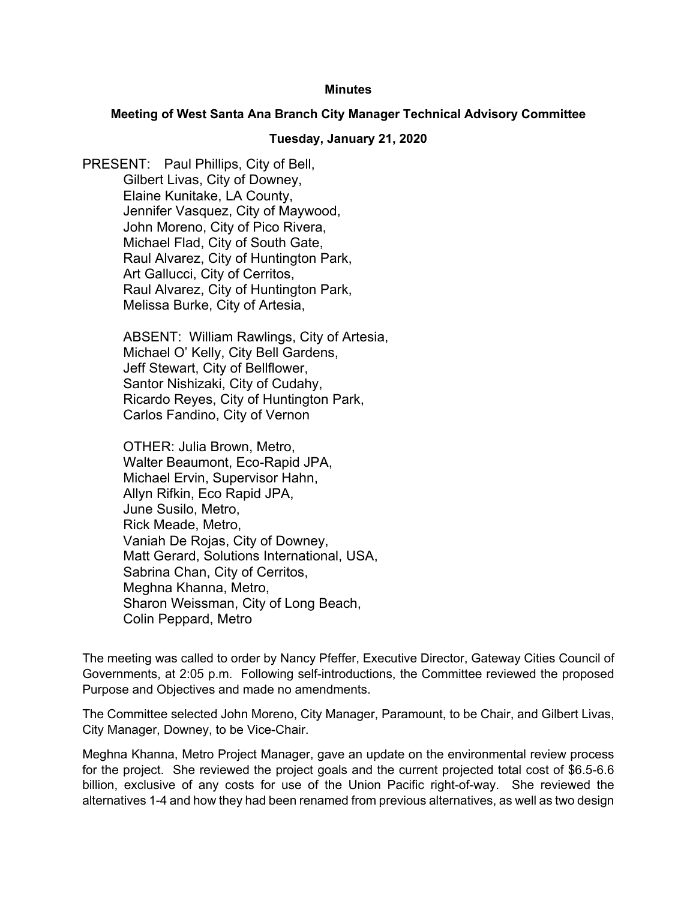## **Minutes**

## **Meeting of West Santa Ana Branch City Manager Technical Advisory Committee**

## **Tuesday, January 21, 2020**

PRESENT: Paul Phillips, City of Bell, Gilbert Livas, City of Downey, Elaine Kunitake, LA County, Jennifer Vasquez, City of Maywood, John Moreno, City of Pico Rivera, Michael Flad, City of South Gate, Raul Alvarez, City of Huntington Park, Art Gallucci, City of Cerritos, Raul Alvarez, City of Huntington Park, Melissa Burke, City of Artesia,

> ABSENT: William Rawlings, City of Artesia, Michael O' Kelly, City Bell Gardens, Jeff Stewart, City of Bellflower, Santor Nishizaki, City of Cudahy, Ricardo Reyes, City of Huntington Park, Carlos Fandino, City of Vernon

OTHER: Julia Brown, Metro, Walter Beaumont, Eco-Rapid JPA, Michael Ervin, Supervisor Hahn, Allyn Rifkin, Eco Rapid JPA, June Susilo, Metro, Rick Meade, Metro, Vaniah De Rojas, City of Downey, Matt Gerard, Solutions International, USA, Sabrina Chan, City of Cerritos, Meghna Khanna, Metro, Sharon Weissman, City of Long Beach, Colin Peppard, Metro

The meeting was called to order by Nancy Pfeffer, Executive Director, Gateway Cities Council of Governments, at 2:05 p.m. Following self-introductions, the Committee reviewed the proposed Purpose and Objectives and made no amendments.

The Committee selected John Moreno, City Manager, Paramount, to be Chair, and Gilbert Livas, City Manager, Downey, to be Vice-Chair.

Meghna Khanna, Metro Project Manager, gave an update on the environmental review process for the project. She reviewed the project goals and the current projected total cost of \$6.5-6.6 billion, exclusive of any costs for use of the Union Pacific right-of-way. She reviewed the alternatives 1-4 and how they had been renamed from previous alternatives, as well as two design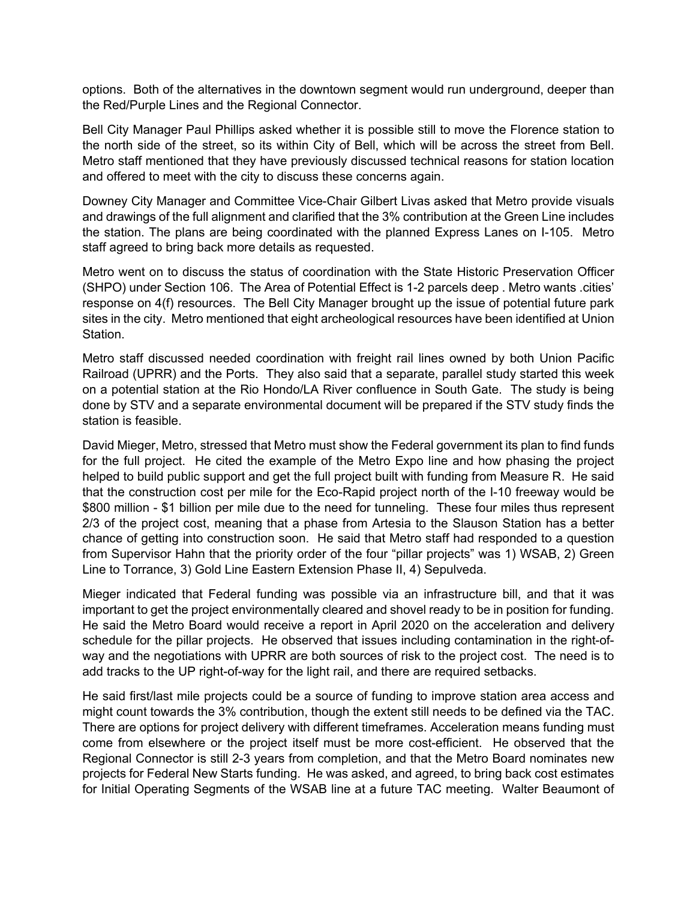options. Both of the alternatives in the downtown segment would run underground, deeper than the Red/Purple Lines and the Regional Connector.

Bell City Manager Paul Phillips asked whether it is possible still to move the Florence station to the north side of the street, so its within City of Bell, which will be across the street from Bell. Metro staff mentioned that they have previously discussed technical reasons for station location and offered to meet with the city to discuss these concerns again.

Downey City Manager and Committee Vice-Chair Gilbert Livas asked that Metro provide visuals and drawings of the full alignment and clarified that the 3% contribution at the Green Line includes the station. The plans are being coordinated with the planned Express Lanes on I-105. Metro staff agreed to bring back more details as requested.

Metro went on to discuss the status of coordination with the State Historic Preservation Officer (SHPO) under Section 106. The Area of Potential Effect is 1-2 parcels deep . Metro wants .cities' response on 4(f) resources. The Bell City Manager brought up the issue of potential future park sites in the city. Metro mentioned that eight archeological resources have been identified at Union Station.

Metro staff discussed needed coordination with freight rail lines owned by both Union Pacific Railroad (UPRR) and the Ports. They also said that a separate, parallel study started this week on a potential station at the Rio Hondo/LA River confluence in South Gate. The study is being done by STV and a separate environmental document will be prepared if the STV study finds the station is feasible.

David Mieger, Metro, stressed that Metro must show the Federal government its plan to find funds for the full project. He cited the example of the Metro Expo line and how phasing the project helped to build public support and get the full project built with funding from Measure R. He said that the construction cost per mile for the Eco-Rapid project north of the I-10 freeway would be \$800 million - \$1 billion per mile due to the need for tunneling. These four miles thus represent 2/3 of the project cost, meaning that a phase from Artesia to the Slauson Station has a better chance of getting into construction soon. He said that Metro staff had responded to a question from Supervisor Hahn that the priority order of the four "pillar projects" was 1) WSAB, 2) Green Line to Torrance, 3) Gold Line Eastern Extension Phase II, 4) Sepulveda.

Mieger indicated that Federal funding was possible via an infrastructure bill, and that it was important to get the project environmentally cleared and shovel ready to be in position for funding. He said the Metro Board would receive a report in April 2020 on the acceleration and delivery schedule for the pillar projects. He observed that issues including contamination in the right-ofway and the negotiations with UPRR are both sources of risk to the project cost. The need is to add tracks to the UP right-of-way for the light rail, and there are required setbacks.

He said first/last mile projects could be a source of funding to improve station area access and might count towards the 3% contribution, though the extent still needs to be defined via the TAC. There are options for project delivery with different timeframes. Acceleration means funding must come from elsewhere or the project itself must be more cost-efficient. He observed that the Regional Connector is still 2-3 years from completion, and that the Metro Board nominates new projects for Federal New Starts funding. He was asked, and agreed, to bring back cost estimates for Initial Operating Segments of the WSAB line at a future TAC meeting. Walter Beaumont of